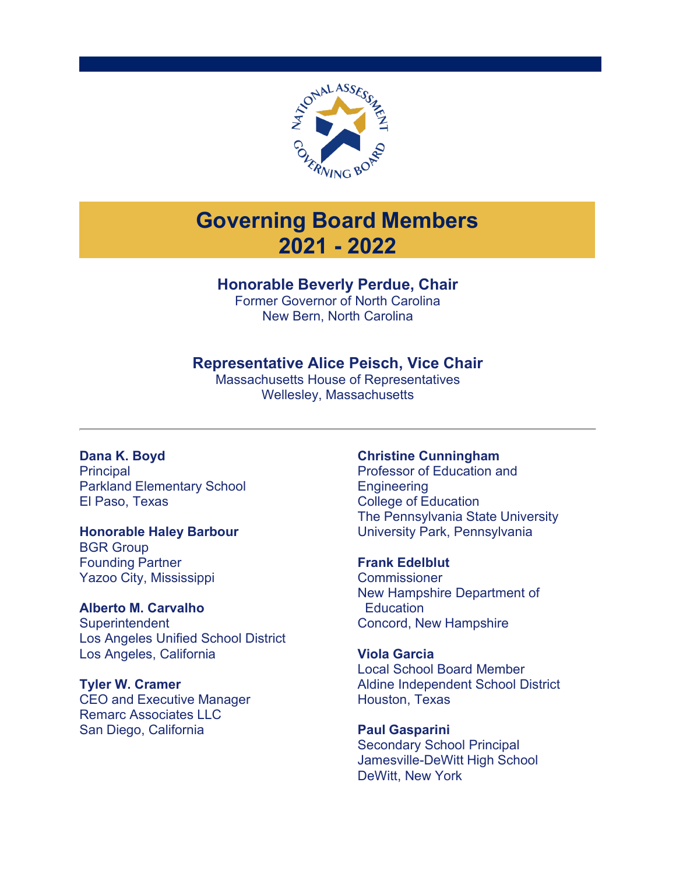

# **Governing Board Members 2021 - 2022**

# **Honorable Beverly Perdue, Chair**

Former Governor of North Carolina New Bern, North Carolina

# **Representative Alice Peisch, Vice Chair**

Massachusetts House of Representatives Wellesley, Massachusetts

# **Dana K. Boyd**

**Principal** Parkland Elementary School El Paso, Texas

## **Honorable Haley Barbour**

BGR Group Founding Partner Yazoo City, Mississippi

## **Alberto M. Carvalho**

**Superintendent** Los Angeles Unified School District Los Angeles, California

### **Tyler W. Cramer**

CEO and Executive Manager Remarc Associates LLC San Diego, California

### **Christine Cunningham**

Professor of Education and **Engineering** College of Education The Pennsylvania State University University Park, Pennsylvania

### **Frank Edelblut**

**Commissioner** New Hampshire Department of **Education** Concord, New Hampshire

## **Viola Garcia**

Local School Board Member Aldine Independent School District Houston, Texas

**Paul Gasparini** Secondary School Principal Jamesville-DeWitt High School DeWitt, New York